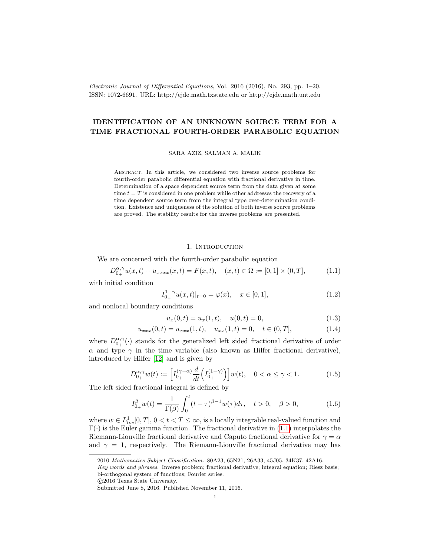Electronic Journal of Differential Equations, Vol. 2016 (2016), No. 293, pp. 1–20. ISSN: 1072-6691. URL: http://ejde.math.txstate.edu or http://ejde.math.unt.edu

# IDENTIFICATION OF AN UNKNOWN SOURCE TERM FOR A TIME FRACTIONAL FOURTH-ORDER PARABOLIC EQUATION

SARA AZIZ, SALMAN A. MALIK

Abstract. In this article, we considered two inverse source problems for fourth-order parabolic differential equation with fractional derivative in time. Determination of a space dependent source term from the data given at some time  $t = T$  is considered in one problem while other addresses the recovery of a time dependent source term from the integral type over-determination condition. Existence and uniqueness of the solution of both inverse source problems are proved. The stability results for the inverse problems are presented.

### <span id="page-0-1"></span>1. INTRODUCTION

We are concerned with the fourth-order parabolic equation

<span id="page-0-0"></span>
$$
D_{0+}^{\alpha,\gamma}u(x,t) + u_{xxxx}(x,t) = F(x,t), \quad (x,t) \in \Omega := [0,1] \times (0,T], \tag{1.1}
$$

with initial condition

<span id="page-0-4"></span>
$$
I_{0_{+}}^{1-\gamma}u(x,t)|_{t=0} = \varphi(x), \quad x \in [0,1], \tag{1.2}
$$

and nonlocal boundary conditions

<span id="page-0-2"></span>
$$
u_x(0,t) = u_x(1,t), \quad u(0,t) = 0,
$$
\n(1.3)

$$
u_{xxx}(0,t) = u_{xxx}(1,t), \quad u_{xx}(1,t) = 0, \quad t \in (0,T], \tag{1.4}
$$

where  $D_{0_{+}}^{\alpha,\gamma}(\cdot)$  stands for the generalized left sided fractional derivative of order  $\alpha$  and type  $\gamma$  in the time variable (also known as Hilfer fractional derivative), introduced by Hilfer [\[12\]](#page-18-0) and is given by

<span id="page-0-3"></span>
$$
D_{0_{+}}^{\alpha,\gamma}w(t) := \left[I_{0_{+}}^{(\gamma-\alpha)}\frac{d}{dt}\left(I_{0_{+}}^{(1-\gamma)}\right)\right]w(t), \quad 0 < \alpha \le \gamma < 1.
$$
 (1.5)

The left sided fractional integral is defined by

$$
I_{0+}^{\beta}w(t) = \frac{1}{\Gamma(\beta)} \int_{0}^{t} (t - \tau)^{\beta - 1} w(\tau) d\tau, \quad t > 0, \quad \beta > 0,
$$
 (1.6)

where  $w \in L^1_{loc}[0,T], 0 < t < T \leq \infty$ , is a locally integrable real-valued function and  $\Gamma(\cdot)$  is the Euler gamma function. The fractional derivative in [\(1.1\)](#page-0-0) interpolates the Riemann-Liouville fractional derivative and Caputo fractional derivative for  $\gamma = \alpha$ and  $\gamma = 1$ , respectively. The Riemann-Liouville fractional derivative may has

<sup>2010</sup> Mathematics Subject Classification. 80A23, 65N21, 26A33, 45J05, 34K37, 42A16.

Key words and phrases. Inverse problem; fractional derivative; integral equation; Riesz basis; bi-orthogonal system of functions; Fourier series.

c 2016 Texas State University.

Submitted June 8, 2016. Published November 11, 2016.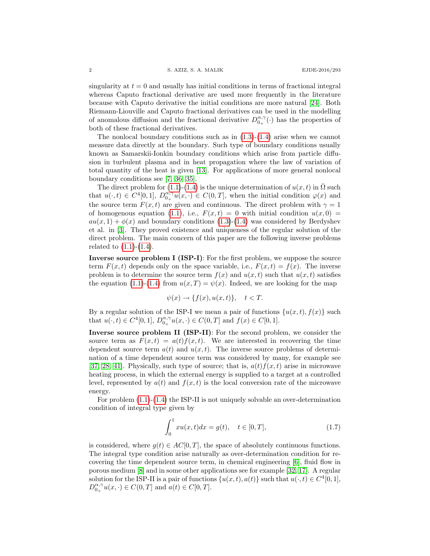singularity at  $t = 0$  and usually has initial conditions in terms of fractional integral whereas Caputo fractional derivative are used more frequently in the literature because with Caputo derivative the initial conditions are more natural [\[24\]](#page-19-0). Both Riemann-Liouville and Caputo fractional derivatives can be used in the modelling of anomalous diffusion and the fractional derivative  $D_{0+}^{\alpha,\gamma}(\cdot)$  has the properties of both of these fractional derivatives.

The nonlocal boundary conditions such as in  $(1.3)-(1.4)$  $(1.3)-(1.4)$  arise when we cannot measure data directly at the boundary. Such type of boundary conditions usually known as Samarskii-Ionkin boundary conditions which arise from particle diffusion in turbulent plasma and in heat propagation where the law of variation of total quantity of the heat is given [\[13\]](#page-18-1). For applications of more general nonlocal boundary conditions see [\[7,](#page-18-2) [36,](#page-19-1) [35\]](#page-19-2).

The direct problem for [\(1.1\)](#page-0-0)-[\(1.4\)](#page-0-2) is the unique determination of  $u(x, t)$  in  $\overline{\Omega}$  such that  $u(\cdot, t) \in C^4[0,1], D_{0+}^{\alpha, \gamma} u(x, \cdot) \in C(0,T],$  when the initial condition  $\varphi(x)$  and the source term  $F(x, t)$  are given and continuous. The direct problem with  $\gamma = 1$ of homogenous equation [\(1.1\)](#page-0-0), i.e.,  $F(x,t) = 0$  with initial condition  $u(x, 0) =$  $au(x, 1) + \phi(x)$  and boundary conditions [\(1.3\)](#page-0-1)-[\(1.4\)](#page-0-2) was considered by Berdyshev et al. in [\[3\]](#page-18-3). They proved existence and uniqueness of the regular solution of the direct problem. The main concern of this paper are the following inverse problems related to  $(1.1)-(1.4)$  $(1.1)-(1.4)$ .

Inverse source problem I (ISP-I): For the first problem, we suppose the source term  $F(x, t)$  depends only on the space variable, i.e.,  $F(x, t) = f(x)$ . The inverse problem is to determine the source term  $f(x)$  and  $u(x,t)$  such that  $u(x,t)$  satisfies the equation [\(1.1\)](#page-0-0)-[\(1.4\)](#page-0-2) from  $u(x,T) = \psi(x)$ . Indeed, we are looking for the map

$$
\psi(x) \to \{f(x), u(x, t)\}, \quad t < T.
$$

By a regular solution of the ISP-I we mean a pair of functions  $\{u(x,t), f(x)\}\$  such that  $u(\cdot, t) \in C^4[0, 1], D_{0_+}^{\alpha, \gamma}u(x, \cdot) \in C(0, T]$  and  $f(x) \in C[0, 1]$ .

Inverse source problem II (ISP-II): For the second problem, we consider the source term as  $F(x,t) = a(t) f(x,t)$ . We are interested in recovering the time dependent source term  $a(t)$  and  $u(x, t)$ . The inverse source problems of determination of a time dependent source term was considered by many, for example see [\[37,](#page-19-3) [28,](#page-19-4) [41\]](#page-19-5). Physically, such type of source; that is,  $a(t)f(x, t)$  arise in microwave heating process, in which the external energy is supplied to a target at a controlled level, represented by  $a(t)$  and  $f(x,t)$  is the local conversion rate of the microwave energy.

For problem [\(1.1\)](#page-0-0)-[\(1.4\)](#page-0-2) the ISP-II is not uniquely solvable an over-determination condition of integral type given by

<span id="page-1-0"></span>
$$
\int_0^1 xu(x,t)dx = g(t), \quad t \in [0,T],
$$
\n(1.7)

is considered, where  $g(t) \in AC[0,T]$ , the space of absolutely continuous functions. The integral type condition arise naturally as over-determination condition for recovering the time dependent source term, in chemical engineering [\[6\]](#page-18-4), fluid flow in porous medium [\[8\]](#page-18-5) and in some other applications see for example [\[32,](#page-19-6) [17\]](#page-18-6). A regular solution for the ISP-II is a pair of functions  $\{u(x,t), a(t)\}\$  such that  $u(\cdot, t) \in C^4[0,1],$  $D_{0+}^{\alpha,\gamma}u(x,.)\in C(0,T]$  and  $a(t)\in C[0,T]$ .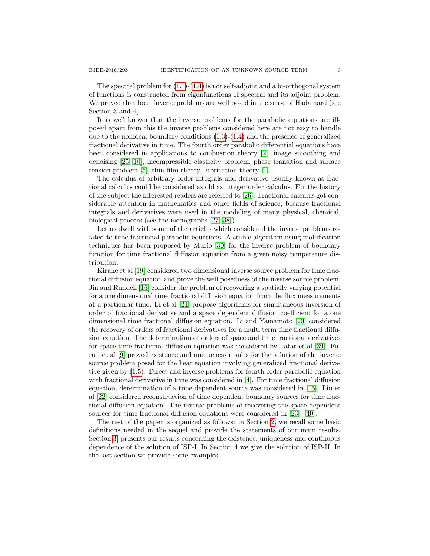Section 3 and 4).

The spectral problem for  $(1.1)-(1.4)$  $(1.1)-(1.4)$  is not self-adjoint and a bi-orthogonal system of functions is constructed from eigenfunctions of spectral and its adjoint problem. We proved that both inverse problems are well posed in the sense of Hadamard (see

It is well known that the inverse problems for the parabolic equations are illposed apart from this the inverse problems considered here are not easy to handle due to the nonlocal boundary conditions [\(1.3\)](#page-0-1)-[\(1.4\)](#page-0-2) and the presence of generalized fractional derivative in time. The fourth order parabolic differential equations have been considered in applications to combustion theory [\[2\]](#page-18-7), image smoothing and denoising [\[25,](#page-19-7) [10\]](#page-18-8), incompressible elasticity problem, phase transition and surface tension problem [\[5\]](#page-18-9), thin film theory, lubrication theory [\[1\]](#page-18-10).

The calculus of arbitrary order integrals and derivative usually known as fractional calculus could be considered as old as integer order calculus. For the history of the subject the interested readers are referred to [\[26\]](#page-19-8). Fractional calculus got considerable attention in mathematics and other fields of science, because fractional integrals and derivatives were used in the modeling of many physical, chemical, biological process (see the monographs [\[27,](#page-19-9) [38\]](#page-19-10)).

Let us dwell with some of the articles which considered the inverse problems related to time fractional parabolic equations. A stable algorithm using mollification techniques has been proposed by Murio [\[30\]](#page-19-11) for the inverse problem of boundary function for time fractional diffusion equation from a given noisy temperature distribution.

Kirane et al [\[19\]](#page-18-11) considered two dimensional inverse source problem for time fractional diffusion equation and prove the well posedness of the inverse source problem. Jin and Rundell [\[16\]](#page-18-12) consider the problem of recovering a spatially varying potential for a one dimensional time fractional diffusion equation from the flux measurements at a particular time. Li et al [\[21\]](#page-18-13) propose algorithms for simultaneous inversion of order of fractional derivative and a space dependent diffusion coefficient for a one dimensional time fractional diffusion equation. Li and Yamamoto [\[20\]](#page-18-14) considered the recovery of orders of fractional derivatives for a multi term time fractional diffusion equation. The determination of orders of space and time fractional derivatives for space-time fractional diffusion equation was considered by Tatar et al [\[39\]](#page-19-12). Furati et al [\[9\]](#page-18-15) proved existence and uniqueness results for the solution of the inverse source problem posed for the heat equation involving generalized fractional derivative given by [\(1.5\)](#page-0-3). Direct and inverse problems for fourth order parabolic equation with fractional derivative in time was considered in [\[4\]](#page-18-16). For time fractional diffusion equation, determination of a time dependent source was considered in [\[15\]](#page-18-17). Liu et al [\[22\]](#page-18-18) considered reconstruction of time dependent boundary sources for time fractional diffusion equation. The inverse problems of recovering the space dependent sources for time fractional diffusion equations were considered in [\[23\]](#page-19-13), [\[40\]](#page-19-14).

The rest of the paper is organized as follows: in Section [2,](#page-3-0) we recall some basic definitions needed in the sequel and provide the statements of our main results. Section [3,](#page-5-0) presents our results concerning the existence, uniqueness and continuous dependence of the solution of ISP-I. In Section 4 we give the solution of ISP-II. In the last section we provide some examples.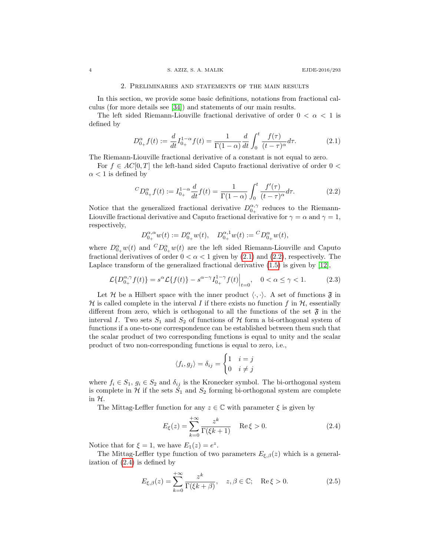#### 2. Preliminaries and statements of the main results

<span id="page-3-0"></span>In this section, we provide some basic definitions, notations from fractional calculus (for more details see [\[34\]](#page-19-15)) and statements of our main results.

The left sided Riemann-Liouville fractional derivative of order  $0 < \alpha < 1$  is defined by

<span id="page-3-1"></span>
$$
D_{0+}^{\alpha} f(t) := \frac{d}{dt} I_{0+}^{1-\alpha} f(t) = \frac{1}{\Gamma(1-\alpha)} \frac{d}{dt} \int_0^t \frac{f(\tau)}{(t-\tau)^{\alpha}} d\tau.
$$
 (2.1)

The Riemann-Liouville fractional derivative of a constant is not equal to zero.

For  $f \in AC[0,T]$  the left-hand sided Caputo fractional derivative of order  $0 <$  $\alpha$  < 1 is defined by

<span id="page-3-2"></span>
$$
{}^{C}D_{0+}^{\alpha}f(t) := I_{0+}^{1-\alpha}\frac{d}{dt}f(t) = \frac{1}{\Gamma(1-\alpha)}\int_{0}^{t}\frac{f'(\tau)}{(t-\tau)^{\alpha}}d\tau.
$$
 (2.2)

Notice that the generalized fractional derivative  $D_{0+}^{\alpha,\gamma}$  reduces to the Riemann-Liouville fractional derivative and Caputo fractional derivative for  $\gamma = \alpha$  and  $\gamma = 1$ , respectively,

$$
D_{0_+}^{\alpha,\alpha}w(t) := D_{0_+}^{\alpha}w(t), \quad D_{0_+}^{\alpha,1}w(t) := {}^C D_{0_+}^{\alpha}w(t),
$$

where  $D_{0_+}^{\alpha}w(t)$  and  ${}^CD_{0_+}^{\alpha}w(t)$  are the left sided Riemann-Liouville and Caputo fractional derivatives of order  $0 < \alpha < 1$  given by [\(2.1\)](#page-3-1) and [\(2.2\)](#page-3-2), respectively. The Laplace transform of the generalized fractional derivative [\(1.5\)](#page-0-3) is given by [\[12\]](#page-18-0),

<span id="page-3-4"></span>
$$
\mathcal{L}\{D_{0+}^{\alpha,\gamma}f(t)\} = s^{\alpha}\mathcal{L}\{f(t)\} - s^{\alpha-\gamma}I_{0+}^{1-\gamma}f(t)\Big|_{t=0}, \quad 0 < \alpha \le \gamma < 1.
$$
 (2.3)

Let H be a Hilbert space with the inner product  $\langle \cdot, \cdot \rangle$ . A set of functions  $\mathfrak{F}$  in H is called complete in the interval I if there exists no function f in  $H$ , essentially different from zero, which is orthogonal to all the functions of the set  $\mathfrak{F}$  in the interval I. Two sets  $S_1$  and  $S_2$  of functions of H form a bi-orthogonal system of functions if a one-to-one correspondence can be established between them such that the scalar product of two corresponding functions is equal to unity and the scalar product of two non-corresponding functions is equal to zero, i.e.,

$$
\langle f_i, g_j \rangle = \delta_{ij} = \begin{cases} 1 & i = j \\ 0 & i \neq j \end{cases}
$$

where  $f_i \in S_1$ ,  $g_i \in S_2$  and  $\delta_{ij}$  is the Kronecker symbol. The bi-orthogonal system is complete in  $H$  if the sets  $S_1$  and  $S_2$  forming bi-orthogonal system are complete in  $H$ .

The Mittag-Leffler function for any  $z \in \mathbb{C}$  with parameter  $\xi$  is given by

<span id="page-3-3"></span>
$$
E_{\xi}(z) = \sum_{k=0}^{+\infty} \frac{z^k}{\Gamma(\xi k + 1)} \quad \text{Re}\,\xi > 0. \tag{2.4}
$$

Notice that for  $\xi = 1$ , we have  $E_1(z) = e^z$ .

The Mittag-Leffler type function of two parameters  $E_{\xi,\beta}(z)$  which is a generalization of [\(2.4\)](#page-3-3) is defined by

$$
E_{\xi,\beta}(z) = \sum_{k=0}^{+\infty} \frac{z^k}{\Gamma(\xi k + \beta)}, \quad z, \beta \in \mathbb{C}; \quad \text{Re}\,\xi > 0. \tag{2.5}
$$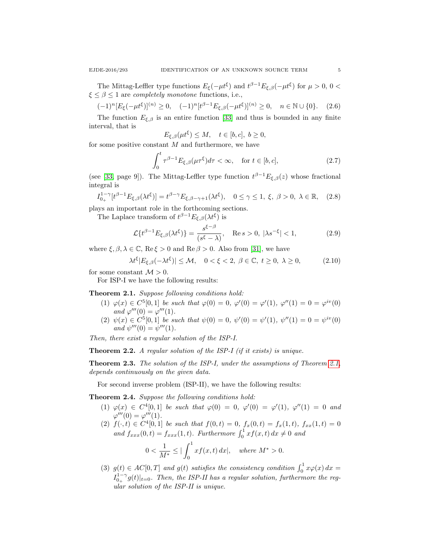The Mittag-Leffler type functions  $E_{\xi}(-\mu t^{\xi})$  and  $t^{\beta-1}E_{\xi,\beta}(-\mu t^{\xi})$  for  $\mu > 0, 0 <$  $\xi \leq \beta \leq 1$  are *completely monotone* functions, i.e.,

<span id="page-4-5"></span>
$$
(-1)^n [E_{\xi}(-\mu t^{\xi})]^{(n)} \ge 0, \quad (-1)^n [t^{\beta-1} E_{\xi,\beta}(-\mu t^{\xi})]^{(n)} \ge 0, \quad n \in \mathbb{N} \cup \{0\}. \tag{2.6}
$$

The function  $E_{\xi,\beta}$  is an entire function [\[33\]](#page-19-16) and thus is bounded in any finite interval, that is

$$
E_{\xi,\beta}(\mu t^{\xi}) \le M, \quad t \in [b,c], \ b \ge 0,
$$

for some positive constant  $M$  and furthermore, we have

<span id="page-4-4"></span>
$$
\int_0^t \tau^{\beta - 1} E_{\xi, \beta}(\mu \tau^{\xi}) d\tau < \infty, \quad \text{for } t \in [b, c], \tag{2.7}
$$

(see [\[33,](#page-19-16) page 9]). The Mittag-Leffler type function  $t^{\beta-1}E_{\xi,\beta}(z)$  whose fractional integral is

$$
I_{0_{+}}^{1-\gamma}[t^{\beta-1}E_{\xi,\beta}(\lambda t^{\xi})] = t^{\beta-\gamma}E_{\xi,\beta-\gamma+1}(\lambda t^{\xi}), \quad 0 \le \gamma \le 1, \ \xi, \ \beta > 0, \ \lambda \in \mathbb{R}, \tag{2.8}
$$

plays an important role in the forthcoming sections.

The Laplace transform of  $t^{\beta-1}E_{\xi,\beta}(\lambda t^{\xi})$  is

<span id="page-4-2"></span>
$$
\mathcal{L}\lbrace t^{\beta - 1} E_{\xi,\beta}(\lambda t^{\xi}) \rbrace = \frac{s^{\xi - \beta}}{(s^{\xi} - \lambda)}, \quad \text{Re}\, s > 0, \, |\lambda s^{-\xi}| < 1,\tag{2.9}
$$

where  $\xi, \beta, \lambda \in \mathbb{C}$ , Re $\xi > 0$  and Re $\beta > 0$ . Also from [\[31\]](#page-19-17), we have

<span id="page-4-3"></span>
$$
\lambda t^{\xi} |E_{\xi,\beta}(-\lambda t^{\xi})| \le \mathcal{M}, \quad 0 < \xi < 2, \ \beta \in \mathbb{C}, \ t \ge 0, \ \lambda \ge 0,\tag{2.10}
$$

for some constant  $\mathcal{M} > 0$ .

For ISP-I we have the following results:

<span id="page-4-0"></span>Theorem 2.1. Suppose following conditions hold:

- (1)  $\varphi(x) \in C^5[0,1]$  be such that  $\varphi(0) = 0$ ,  $\varphi'(0) = \varphi'(1)$ ,  $\varphi''(1) = 0 = \varphi^{iv}(0)$ and  $\varphi'''(0) = \varphi'''(1)$ .
- (2)  $\psi(x) \in C^5[0,1]$  be such that  $\psi(0) = 0$ ,  $\psi'(0) = \psi'(1)$ ,  $\psi''(1) = 0 = \psi^{iv}(0)$ and  $\psi'''(0) = \psi'''(1)$ .

Then, there exist a regular solution of the ISP-I.

<span id="page-4-6"></span>Theorem 2.2. A regular solution of the ISP-I (if it exists) is unique.

<span id="page-4-7"></span>Theorem 2.3. The solution of the ISP-I, under the assumptions of Theorem [2.1,](#page-4-0) depends continuously on the given data.

For second inverse problem (ISP-II), we have the following results:

<span id="page-4-1"></span>Theorem 2.4. Suppose the following conditions hold:

- (1)  $\varphi(x) \in C^4[0,1]$  be such that  $\varphi(0) = 0$ ,  $\varphi'(0) = \varphi'(1)$ ,  $\varphi''(1) = 0$  and  $\varphi'''(0) = \varphi'''(1).$
- (2)  $f(\cdot, t) \in C^4[0,1]$  be such that  $f(0, t) = 0$ ,  $f_x(0,t) = f_x(1,t)$ ,  $f_{xx}(1,t) = 0$ and  $f_{xxx}(0,t) = f_{xxx}(1,t)$ . Furthermore  $\int_0^1 x f(x,t) dx \neq 0$  and

$$
0 < \frac{1}{M^*} \le | \int_0^1 x f(x, t) \, dx |, \quad \text{where } M^* > 0.
$$

<span id="page-4-8"></span>(3)  $g(t) \in AC[0,T]$  and  $g(t)$  satisfies the consistency condition  $\int_0^1 x \varphi(x) dx =$  $I_{0_{+}}^{1-\gamma}g(t)|_{t=0}$ . Then, the ISP-II has a regular solution, furthermore the regular solution of the ISP-II is unique.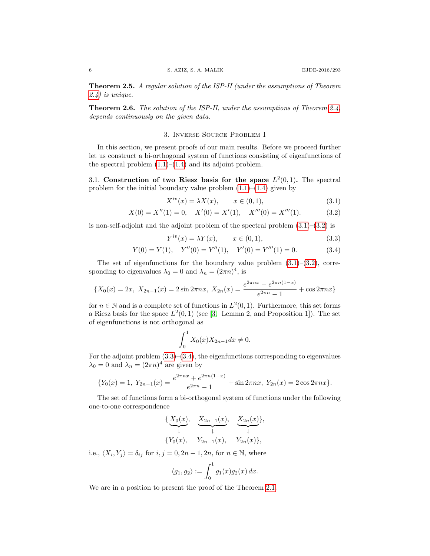Theorem 2.5. A regular solution of the ISP-II (under the assumptions of Theorem [2.4\)](#page-4-1) is unique.

<span id="page-5-5"></span>Theorem 2.6. The solution of the ISP-II, under the assumptions of Theorem [2.4,](#page-4-1) depends continuously on the given data.

## 3. Inverse Source Problem I

<span id="page-5-0"></span>In this section, we present proofs of our main results. Before we proceed further let us construct a bi-orthogonal system of functions consisting of eigenfunctions of the spectral problem  $(1.1)$ – $(1.4)$  and its adjoint problem.

3.1. Construction of two Riesz basis for the space  $L^2(0,1)$ . The spectral problem for the initial boundary value problem  $(1.1)$ – $(1.4)$  given by

<span id="page-5-2"></span><span id="page-5-1"></span>
$$
X^{iv}(x) = \lambda X(x), \qquad x \in (0,1), \tag{3.1}
$$

$$
X(0) = X''(1) = 0, \quad X'(0) = X'(1), \quad X'''(0) = X'''(1). \tag{3.2}
$$

is non-self-adjoint and the adjoint problem of the spectral problem  $(3.1)$ – $(3.2)$  is

<span id="page-5-4"></span><span id="page-5-3"></span>
$$
Y^{iv}(x) = \lambda Y(x), \qquad x \in (0, 1), \tag{3.3}
$$

$$
Y(0) = Y(1), \quad Y''(0) = Y''(1), \quad Y'(0) = Y'''(1) = 0.
$$
 (3.4)

The set of eigenfunctions for the boundary value problem  $(3.1)$ – $(3.2)$ , corresponding to eigenvalues  $\lambda_0 = 0$  and  $\lambda_n = (2\pi n)^4$ , is

$$
\{X_0(x) = 2x, X_{2n-1}(x) = 2\sin 2\pi nx, X_{2n}(x) = \frac{e^{2\pi nx} - e^{2\pi n(1-x)}}{e^{2\pi n} - 1} + \cos 2\pi nx\}
$$

for  $n \in \mathbb{N}$  and is a complete set of functions in  $L^2(0,1)$ . Furthermore, this set forms a Riesz basis for the space  $L^2(0,1)$  (see [\[3,](#page-18-3) Lemma 2, and Proposition 1]). The set of eigenfunctions is not orthogonal as

$$
\int_0^1 X_0(x) X_{2n-1} dx \neq 0.
$$

For the adjoint problem  $(3.3)$ – $(3.4)$ , the eigenfunctions corresponding to eigenvalues  $\lambda_0 = 0$  and  $\lambda_n = (2\pi n)^4$  are given by

$$
\{Y_0(x) = 1, Y_{2n-1}(x) = \frac{e^{2\pi nx} + e^{2\pi n(1-x)}}{e^{2\pi n} - 1} + \sin 2\pi nx, Y_{2n}(x) = 2\cos 2\pi nx\}.
$$

The set of functions form a bi-orthogonal system of functions under the following one-to-one correspondence

$$
\{\underbrace{X_0(x)}_{\downarrow}, \underbrace{X_{2n-1}(x)}_{\downarrow}, \underbrace{X_{2n}(x)}_{\downarrow},
$$
  

$$
\{Y_0(x), \quad Y_{2n-1}(x), \quad Y_{2n}(x)\},
$$

i.e.,  $\langle X_i, Y_j \rangle = \delta_{ij}$  for  $i, j = 0, 2n - 1, 2n$ , for  $n \in \mathbb{N}$ , where

$$
\langle g_1, g_2 \rangle := \int_0^1 g_1(x) g_2(x) \, dx.
$$

We are in a position to present the proof of the Theorem [2.1.](#page-4-0)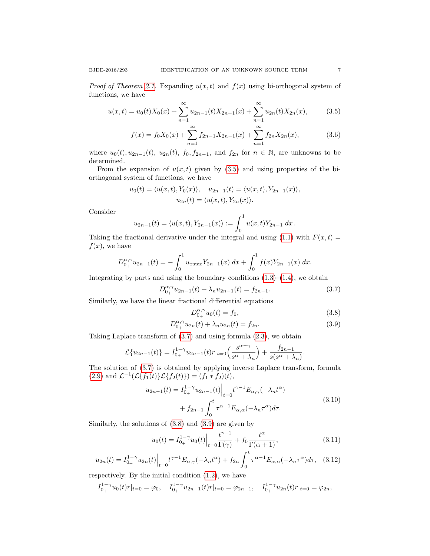$$
u(x,t) = u_0(t)X_0(x) + \sum_{n=1}^{\infty} u_{2n-1}(t)X_{2n-1}(x) + \sum_{n=1}^{\infty} u_{2n}(t)X_{2n}(x),
$$
 (3.5)

<span id="page-6-6"></span><span id="page-6-0"></span>
$$
f(x) = f_0 X_0(x) + \sum_{n=1}^{\infty} f_{2n-1} X_{2n-1}(x) + \sum_{n=1}^{\infty} f_{2n} X_{2n}(x),
$$
 (3.6)

where  $u_0(t)$ ,  $u_{2n-1}(t)$ ,  $u_{2n}(t)$ ,  $f_0$ ,  $f_{2n-1}$ , and  $f_{2n}$  for  $n \in \mathbb{N}$ , are unknowns to be determined.

From the expansion of  $u(x, t)$  given by [\(3.5\)](#page-6-0) and using properties of the biorthogonal system of functions, we have

$$
u_0(t) = \langle u(x,t), Y_0(x) \rangle, \quad u_{2n-1}(t) = \langle u(x,t), Y_{2n-1}(x) \rangle,
$$
  

$$
u_{2n}(t) = \langle u(x,t), Y_{2n}(x) \rangle.
$$

Consider

$$
u_{2n-1}(t) = \langle u(x,t), Y_{2n-1}(x) \rangle := \int_0^1 u(x,t) Y_{2n-1} dx.
$$

Taking the fractional derivative under the integral and using [\(1.1\)](#page-0-0) with  $F(x, t) =$  $f(x)$ , we have

$$
D_{0_{+}}^{\alpha,\gamma}u_{2n-1}(t) = -\int_{0}^{1} u_{xxxx}Y_{2n-1}(x) dx + \int_{0}^{1} f(x)Y_{2n-1}(x) dx.
$$

Integrating by parts and using the boundary conditions  $(1.3)$ – $(1.4)$ , we obtain

<span id="page-6-1"></span>
$$
D_{0_{+}}^{\alpha,\gamma}u_{2n-1}(t) + \lambda_{n}u_{2n-1}(t) = f_{2n-1}.
$$
\n(3.7)

Similarly, we have the linear fractional differential equations

<span id="page-6-3"></span><span id="page-6-2"></span>
$$
D_{0_{+}}^{\alpha,\gamma}u_{0}(t) = f_{0}, \qquad (3.8)
$$

$$
D_{0_{+}}^{\alpha,\gamma}u_{2n}(t) + \lambda_{n}u_{2n}(t) = f_{2n}.
$$
\n(3.9)

Taking Laplace transform of [\(3.7\)](#page-6-1) and using formula [\(2.3\)](#page-3-4), we obtain

$$
\mathcal{L}{u_{2n-1}(t)} = I_{0+}^{1-\gamma} u_{2n-1}(t) r|_{t=0} \left(\frac{s^{\alpha-\gamma}}{s^{\alpha}+\lambda_n}\right) + \frac{f_{2n-1}}{s(s^{\alpha}+\lambda_n)}.
$$

The solution of [\(3.7\)](#page-6-1) is obtained by applying inverse Laplace transform, formula [\(2.9\)](#page-4-2) and  $\mathcal{L}^{-1}(\mathcal{L}\{f_1(t)\}\mathcal{L}\{f_2(t)\}) = (f_1 * f_2)(t),$ 

<span id="page-6-4"></span>
$$
u_{2n-1}(t) = I_{0_{+}}^{1-\gamma} u_{2n-1}(t) \Big|_{t=0} t^{\gamma-1} E_{\alpha,\gamma}(-\lambda_n t^{\alpha}) + f_{2n-1} \int_0^t \tau^{\alpha-1} E_{\alpha,\alpha}(-\lambda_n \tau^{\alpha}) d\tau.
$$
 (3.10)

Similarly, the solutions of [\(3.8\)](#page-6-2) and [\(3.9\)](#page-6-3) are given by

<span id="page-6-5"></span>
$$
u_0(t) = I_{0+}^{1-\gamma} u_0(t) \Big|_{t=0} \frac{t^{\gamma-1}}{\Gamma(\gamma)} + f_0 \frac{t^{\alpha}}{\Gamma(\alpha+1)},
$$
\n(3.11)

$$
u_{2n}(t) = I_{0+}^{1-\gamma} u_{2n}(t) \Big|_{t=0} t^{\gamma-1} E_{\alpha,\gamma}(-\lambda_n t^{\alpha}) + f_{2n} \int_0^t \tau^{\alpha-1} E_{\alpha,\alpha}(-\lambda_n \tau^{\alpha}) d\tau, \quad (3.12)
$$

respectively. By the initial condition [\(1.2\)](#page-0-4), we have

$$
I_{0+}^{1-\gamma}u_0(t)r|_{t=0} = \varphi_0, \quad I_{0+}^{1-\gamma}u_{2n-1}(t)r|_{t=0} = \varphi_{2n-1}, \quad I_{0+}^{1-\gamma}u_{2n}(t)r|_{t=0} = \varphi_{2n},
$$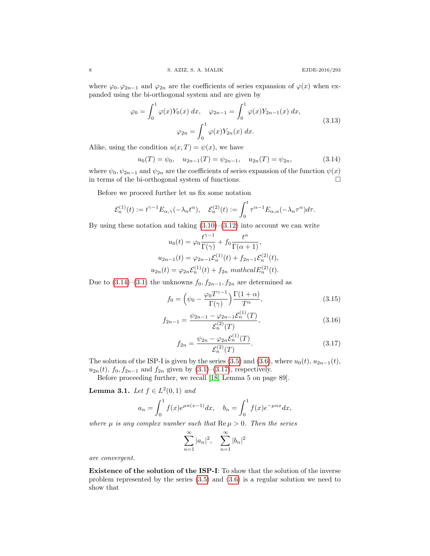where  $\varphi_0, \varphi_{2n-1}$  and  $\varphi_{2n}$  are the coefficients of series expansion of  $\varphi(x)$  when expanded using the bi-orthogonal system and are given by

<span id="page-7-2"></span>
$$
\varphi_0 = \int_0^1 \varphi(x) Y_0(x) dx, \quad \varphi_{2n-1} = \int_0^1 \varphi(x) Y_{2n-1}(x) dx,
$$
  

$$
\varphi_{2n} = \int_0^1 \varphi(x) Y_{2n}(x) dx.
$$
 (3.13)

Alike, using the condition  $u(x,T) = \psi(x)$ , we have

<span id="page-7-0"></span>
$$
u_0(T) = \psi_0, \quad u_{2n-1}(T) = \psi_{2n-1}, \quad u_{2n}(T) = \psi_{2n}, \tag{3.14}
$$

where  $\psi_0, \psi_{2n-1}$  and  $\psi_{2n}$  are the coefficients of series expansion of the function  $\psi(x)$ in terms of the bi-orthogonal system of functions.

Before we proceed further let us fix some notation

$$
\mathcal{E}_n^{(1)}(t) := t^{\gamma - 1} E_{\alpha, \gamma}(-\lambda_n t^{\alpha}), \quad \mathcal{E}_n^{(2)}(t) := \int_0^t \tau^{\alpha - 1} E_{\alpha, \alpha}(-\lambda_n \tau^{\alpha}) d\tau.
$$

By using these notation and taking  $(3.10)$ – $(3.12)$  into account we can write

$$
u_0(t) = \varphi_0 \frac{t^{\gamma - 1}}{\Gamma(\gamma)} + f_0 \frac{t^{\alpha}}{\Gamma(\alpha + 1)},
$$
  
\n
$$
u_{2n-1}(t) = \varphi_{2n-1} \mathcal{E}_n^{(1)}(t) + f_{2n-1} \mathcal{E}_n^{(2)}(t),
$$
  
\n
$$
u_{2n}(t) = \varphi_{2n} \mathcal{E}_n^{(1)}(t) + f_{2n} \operatorname{mathcal{E}_n^{(2)}(t)}.
$$

Due to  $(3.14)$ – $(3.1)$  the unknowns  $f_0, f_{2n-1}, f_{2n}$  are determined as

$$
f_0 = \left(\psi_0 - \frac{\varphi_0 T^{\gamma - 1}}{\Gamma(\gamma)}\right) \frac{\Gamma(1 + \alpha)}{T^{\alpha}},\tag{3.15}
$$

$$
f_{2n-1} = \frac{\psi_{2n-1} - \varphi_{2n-1} \mathcal{E}_n^{(1)}(T)}{\mathcal{E}_n^{(2)}(T)},
$$
\n(3.16)

<span id="page-7-4"></span><span id="page-7-1"></span>
$$
f_{2n} = \frac{\psi_{2n} - \varphi_{2n} \mathcal{E}_n^{(1)}(T)}{\mathcal{E}_n^{(2)}(T)}.
$$
\n(3.17)

The solution of the ISP-I is given by the series [\(3.5\)](#page-6-0) and [\(3.6\)](#page-6-6), where  $u_0(t)$ ,  $u_{2n-1}(t)$ ,  $u_{2n}(t)$ ,  $f_0, f_{2n-1}$  and  $f_{2n}$  given by  $(3.1)–(3.17)$  $(3.1)–(3.17)$ , respectively.

Before proceeding further, we recall [\[18,](#page-18-19) Lemma 5 on page 89].

<span id="page-7-3"></span>**Lemma 3.1.** Let  $f \in L^2(0,1)$  and

$$
a_n = \int_0^1 f(x)e^{\mu n(x-1)}dx, \quad b_n = \int_0^1 f(x)e^{-\mu nx}dx,
$$

where  $\mu$  is any complex number such that  $\text{Re}\,\mu > 0$ . Then the series

$$
\sum_{n=1}^{\infty} |a_n|^2, \quad \sum_{n=1}^{\infty} |b_n|^2
$$

are convergent.

Existence of the solution of the ISP-I: To show that the solution of the inverse problem represented by the series [\(3.5\)](#page-6-0) and [\(3.6\)](#page-6-6) is a regular solution we need to show that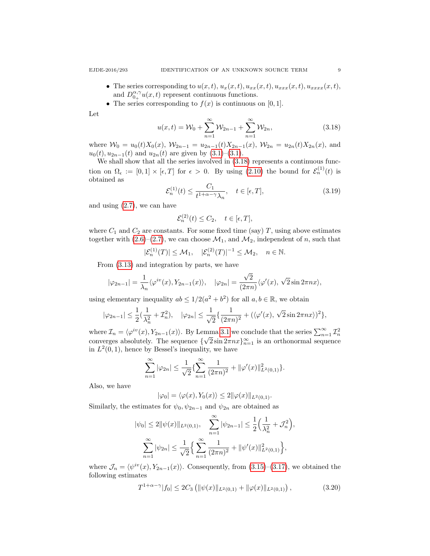- The series corresponding to  $u(x, t)$ ,  $u_x(x, t)$ ,  $u_{xx}(x, t)$ ,  $u_{xxx}(x, t)$ ,  $u_{xxxx}(x, t)$ , and  $D_{0+}^{\alpha,\gamma}u(x,t)$  represent continuous functions.
- The series corresponding to  $f(x)$  is continuous on [0, 1].

Let

<span id="page-8-0"></span>
$$
u(x,t) = \mathcal{W}_0 + \sum_{n=1}^{\infty} \mathcal{W}_{2n-1} + \sum_{n=1}^{\infty} \mathcal{W}_{2n},
$$
\n(3.18)

where  $W_0 = u_0(t)X_0(x)$ ,  $W_{2n-1} = u_{2n-1}(t)X_{2n-1}(x)$ ,  $W_{2n} = u_{2n}(t)X_{2n}(x)$ , and  $u_0(t), u_{2n-1}(t)$  and  $u_{2n}(t)$  are given by  $(3.1)$ – $(3.1)$ .

We shall show that all the series involved in  $(3.18)$  represents a continuous function on  $\Omega_{\epsilon} := [0,1] \times [\epsilon, T]$  for  $\epsilon > 0$ . By using [\(2.10\)](#page-4-3) the bound for  $\mathcal{E}_n^{(1)}(t)$  is obtained as

<span id="page-8-2"></span>
$$
\mathcal{E}_n^{(1)}(t) \le \frac{C_1}{t^{1+\alpha-\gamma}\lambda_n}, \quad t \in [\epsilon, T],
$$
\n(3.19)

and using  $(2.7)$ , we can have

$$
\mathcal{E}_n^{(2)}(t) \le C_2, \quad t \in [\epsilon, T],
$$

where  $C_1$  and  $C_2$  are constants. For some fixed time (say) T, using above estimates together with  $(2.6)$ – $(2.7)$ , we can choose  $\mathcal{M}_1$ , and  $\mathcal{M}_2$ , independent of n, such that

$$
|\mathcal{E}_n^{(1)}(T)| \le \mathcal{M}_1, \quad |\mathcal{E}_n^{(2)}(T)|^{-1} \le \mathcal{M}_2, \quad n \in \mathbb{N}.
$$

From [\(3.13\)](#page-7-2) and integration by parts, we have

$$
|\varphi_{2n-1}| = \frac{1}{\lambda_n} \langle \varphi^{iv}(x), Y_{2n-1}(x) \rangle, \quad |\varphi_{2n}| = \frac{\sqrt{2}}{(2\pi n)} \langle \varphi'(x), \sqrt{2} \sin 2\pi nx \rangle,
$$

using elementary inequality  $ab \leq 1/2(a^2 + b^2)$  for all  $a, b \in \mathbb{R}$ , we obtain

$$
|\varphi_{2n-1}|\leq \frac{1}{2}(\frac{1}{\lambda_n^2}+\mathcal{I}_n^2),\quad |\varphi_{2n}|\leq \frac{1}{\sqrt{2}}\{\frac{1}{(2\pi n)^2}+(\langle\varphi'(x),\sqrt{2}\sin 2\pi n x\rangle)^2\},
$$

where  $\mathcal{I}_n = \langle \varphi^{iv}(x), Y_{2n-1}(x) \rangle$ . By Lemma [3.1](#page-7-3) we conclude that the series  $\sum_{n=1}^{\infty} \mathcal{I}_n^2$ converges absolutely. The sequence  $\{\sqrt{2} \sin 2\pi nx\}_{n=1}^{\infty}$  is an orthonormal sequence in  $L^2(0,1)$ , hence by Bessel's inequality, we have

$$
\sum_{n=1}^{\infty} |\varphi_{2n}| \le \frac{1}{\sqrt{2}} \{ \sum_{n=1}^{\infty} \frac{1}{(2\pi n)^2} + ||\varphi'(x)||^2_{L^2(0,1)} \}.
$$

Also, we have

$$
|\varphi_0| = \langle \varphi(x), Y_0(x) \rangle \le 2 ||\varphi(x)||_{L^2(0,1)}.
$$

Similarly, the estimates for  $\psi_0, \psi_{2n-1}$  and  $\psi_{2n}$  are obtained as

$$
|\psi_0| \le 2 \|\psi(x)\|_{L^2(0,1)}, \quad \sum_{n=1}^{\infty} |\psi_{2n-1}| \le \frac{1}{2} \Big(\frac{1}{\lambda_n^2} + \mathcal{J}_n^2\Big),
$$

$$
\sum_{n=1}^{\infty} |\psi_{2n}| \le \frac{1}{\sqrt{2}} \Big\{ \sum_{n=1}^{\infty} \frac{1}{(2\pi n)^2} + \|\psi'(x)\|_{L^2(0,1)}^2 \Big\},
$$

where  $\mathcal{J}_n = \langle \psi^{iv}(x), Y_{2n-1}(x) \rangle$ . Consequently, from [\(3.15\)](#page-7-4)–[\(3.17\)](#page-7-1), we obtained the following estimates

<span id="page-8-1"></span>
$$
T^{1+\alpha-\gamma}|f_0| \le 2C_3 \left( \|\psi(x)\|_{L^2(0,1)} + \|\varphi(x)\|_{L^2(0,1)} \right),\tag{3.20}
$$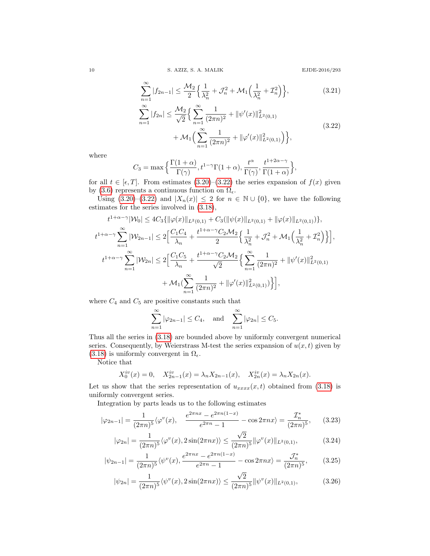<span id="page-9-0"></span>

$$
\sum_{n=1}^{\infty} |f_{2n-1}| \le \frac{\mathcal{M}_2}{2} \Big\{ \frac{1}{\lambda_n^2} + \mathcal{J}_n^2 + \mathcal{M}_1 \Big( \frac{1}{\lambda_n^2} + \mathcal{I}_n^2 \Big) \Big\},\tag{3.21}
$$

$$
\sum_{n=1}^{\infty} |f_{2n}| \leq \frac{\mathcal{M}_2}{\sqrt{2}} \Big\{ \sum_{n=1}^{\infty} \frac{1}{(2\pi n)^2} + ||\psi'(x)||^2_{L^2(0,1)} + \mathcal{M}_1 \Big( \sum_{n=1}^{\infty} \frac{1}{(2\pi n)^2} + ||\varphi'(x)||^2_{L^2(0,1)} \Big) \Big\},
$$
\n(3.22)

where

$$
C_3 = \max\left\{\frac{\Gamma(1+\alpha)}{\Gamma(\gamma)}, t^{1-\gamma}\Gamma(1+\alpha), \frac{t^{\alpha}}{\Gamma(\gamma)}, \frac{t^{1+2\alpha-\gamma}}{\Gamma(1+\alpha)}\right\},\,
$$

for all  $t \in [\epsilon, T]$ . From estimates [\(3.20\)](#page-8-1)–[\(3.22\)](#page-9-0) the series expansion of  $f(x)$  given by [\(3.6\)](#page-6-6) represents a continuous function on  $\Omega_{\epsilon}$ .

Using  $(3.20)$ – $(3.22)$  and  $|X_n(x)| \leq 2$  for  $n \in \mathbb{N} \cup \{0\}$ , we have the following estimates for the series involved in [\(3.18\)](#page-8-0),

$$
t^{1+\alpha-\gamma}|\mathcal{W}_0| \le 4C_3 \{ \|\varphi(x)\|_{L^2(0,1)} + C_3(\|\psi(x)\|_{L^2(0,1)} + \|\varphi(x)\|_{L^2(0,1)}) \},
$$
  
\n
$$
t^{1+\alpha-\gamma} \sum_{n=1}^{\infty} |\mathcal{W}_{2n-1}| \le 2 \Big[ \frac{C_1 C_4}{\lambda_n} + \frac{t^{1+\alpha-\gamma} C_2 \mathcal{M}_2}{2} \Big\{ \frac{1}{\lambda_n^2} + \mathcal{J}_n^2 + \mathcal{M}_1 \Big( \frac{1}{\lambda_n^2} + \mathcal{I}_n^2 \Big) \Big\} \Big],
$$
  
\n
$$
t^{1+\alpha-\gamma} \sum_{n=1}^{\infty} |\mathcal{W}_{2n}| \le 2 \Big[ \frac{C_1 C_5}{\lambda_n} + \frac{t^{1+\alpha-\gamma} C_2 \mathcal{M}_2}{\sqrt{2}} \Big\{ \sum_{n=1}^{\infty} \frac{1}{(2\pi n)^2} + \|\psi'(x)\|_{L^2(0,1)}^2 + \mathcal{M}_1 (\sum_{n=1}^{\infty} \frac{1}{(2\pi n)^2} + \|\varphi'(x)\|_{L^2(0,1)}^2) \Big\} \Big],
$$

where  $C_4$  and  $C_5$  are positive constants such that

<span id="page-9-1"></span>
$$
\sum_{n=1}^{\infty} |\varphi_{2n-1}| \le C_4, \text{ and } \sum_{n=1}^{\infty} |\varphi_{2n}| \le C_5.
$$

Thus all the series in [\(3.18\)](#page-8-0) are bounded above by uniformly convergent numerical series. Consequently, by Weierstrass M-test the series expansion of  $u(x, t)$  given by [\(3.18\)](#page-8-0) is uniformly convergent in  $\Omega_{\epsilon}$ .

Notice that

$$
X_0^{iv}(x) = 0
$$
,  $X_{2n-1}^{iv}(x) = \lambda_n X_{2n-1}(x)$ ,  $X_{2n}^{iv}(x) = \lambda_n X_{2n}(x)$ .

Let us show that the series representation of  $u_{xxxx}(x, t)$  obtained from [\(3.18\)](#page-8-0) is uniformly convergent series.

Integration by parts leads us to the following estimates

$$
|\varphi_{2n-1}| = \frac{1}{(2\pi n)^5} \langle \varphi^v(x), \quad \frac{e^{2\pi nx} - e^{2\pi n(1-x)}}{e^{2\pi n} - 1} - \cos 2\pi nx \rangle = \frac{\mathcal{I}_n^*}{(2\pi n)^5}, \qquad (3.23)
$$

$$
|\varphi_{2n}| = \frac{1}{(2\pi n)^5} \langle \varphi^v(x), 2\sin(2\pi nx) \rangle \le \frac{\sqrt{2}}{(2\pi n)^5} ||\varphi^v(x)||_{L^2(0,1)},
$$
(3.24)

$$
|\psi_{2n-1}| = \frac{1}{(2\pi n)^5} \langle \psi^v(x), \frac{e^{2\pi nx} - e^{2\pi n(1-x)}}{e^{2\pi n} - 1} - \cos 2\pi nx \rangle = \frac{\mathcal{J}_n^*}{(2\pi n)^5},\qquad(3.25)
$$

<span id="page-9-2"></span>
$$
|\psi_{2n}| = \frac{1}{(2\pi n)^5} \langle \psi^v(x), 2\sin(2\pi nx) \rangle \le \frac{\sqrt{2}}{(2\pi n)^5} ||\psi^v(x)||_{L^2(0,1)},
$$
(3.26)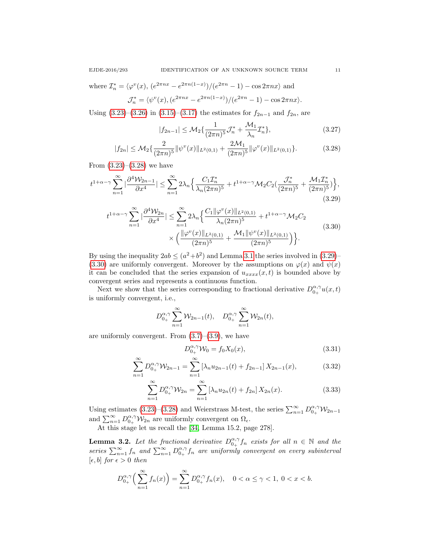where  $\mathcal{I}_n^* = \langle \varphi^v(x), (e^{2\pi nx} - e^{2\pi n(1-x)})/(e^{2\pi n} - 1) - \cos 2\pi nx \rangle$  and  $\mathcal{J}_n^* = \langle \psi^v(x), (e^{2\pi nx} - e^{2\pi n(1-x)})/(e^{2\pi n} - 1) - \cos 2\pi nx \rangle.$ 

Using  $(3.23)$ – $(3.26)$  in  $(3.15)$ – $(3.17)$  the estimates for  $f_{2n-1}$  and  $f_{2n}$ , are

$$
|f_{2n-1}| \le \mathcal{M}_2\{\frac{1}{(2\pi n)^5} \mathcal{J}_n^* + \frac{\mathcal{M}_1}{\lambda_n} \mathcal{I}_n^*\},\tag{3.27}
$$

$$
|f_{2n}| \leq \mathcal{M}_2\left\{\frac{2}{(2\pi n)^5} \|\psi^v(x)\|_{L^2(0,1)} + \frac{2\mathcal{M}_1}{(2\pi n)^5} \|\varphi^v(x)\|_{L^2(0,1)}\right\}.
$$
 (3.28)

From  $(3.23)$ – $(3.28)$  we have

$$
t^{1+\alpha-\gamma} \sum_{n=1}^{\infty} |\frac{\partial^4 \mathcal{W}_{2n-1}}{\partial x^4}| \leq \sum_{n=1}^{\infty} 2\lambda_n \Big\{ \frac{C_1 \mathcal{I}_n^*}{\lambda_n (2\pi n)^5} + t^{1+\alpha-\gamma} \mathcal{M}_2 C_2 \left( \frac{\mathcal{J}_n^*}{(2\pi n)^5} + \frac{\mathcal{M}_1 \mathcal{I}_n^*}{(2\pi n)^5} \right) \Big\},\tag{3.29}
$$

$$
t^{1+\alpha-\gamma} \sum_{n=1}^{\infty} |\frac{\partial^4 \mathcal{W}_{2n}}{\partial x^4}| \leq \sum_{n=1}^{\infty} 2\lambda_n \Big\{ \frac{C_1 \|\varphi^v(x)\|_{L^2(0,1)}}{\lambda_n (2\pi n)^5} + t^{1+\alpha-\gamma} \mathcal{M}_2 C_2 \times \Big(\frac{\|\varphi^v(x)\|_{L^2(0,1)}}{(2\pi n)^5} + \frac{\mathcal{M}_1 \|\psi^v(x)\|_{L^2(0,1)}}{(2\pi n)^5} \Big) \Big\}.
$$
\n(3.30)

By using the inequality  $2ab \leq (a^2+b^2)$  and Lemma [3.1](#page-7-3) the series involved in  $(3.29)$ [\(3.30\)](#page-10-2) are uniformly convergent. Moreover by the assumptions on  $\varphi(x)$  and  $\psi(x)$ it can be concluded that the series expansion of  $u_{xxxx}(x, t)$  is bounded above by convergent series and represents a continuous function.

Next we show that the series corresponding to fractional derivative  $D_{0+}^{\alpha,\gamma}u(x,t)$ is uniformly convergent, i.e.,

$$
D_{0_{+}}^{\alpha,\gamma} \sum_{n=1}^{\infty} \mathcal{W}_{2n-1}(t), \quad D_{0_{+}}^{\alpha,\gamma} \sum_{n=1}^{\infty} \mathcal{W}_{2n}(t),
$$

are uniformly convergent. From  $(3.7)$ – $(3.9)$ , we have

$$
D_{0_{+}}^{\alpha,\gamma} \mathcal{W}_0 = f_0 X_0(x), \tag{3.31}
$$

$$
\sum_{n=1}^{\infty} D_{0_{+}}^{\alpha,\gamma} \mathcal{W}_{2n-1} = \sum_{n=1}^{\infty} \left[ \lambda_{n} u_{2n-1}(t) + f_{2n-1} \right] X_{2n-1}(x), \tag{3.32}
$$

$$
\sum_{n=1}^{\infty} D_{0+}^{\alpha,\gamma} \mathcal{W}_{2n} = \sum_{n=1}^{\infty} \left[ \lambda_n u_{2n}(t) + f_{2n} \right] X_{2n}(x).
$$
 (3.33)

Using estimates [\(3.23\)](#page-9-1)–[\(3.28\)](#page-10-0) and Weierstrass M-test, the series  $\sum_{n=1}^{\infty} D_{0+}^{\alpha,\gamma} \mathcal{W}_{2n-1}$ and  $\sum_{n=1}^{\infty} D_{0+}^{\alpha,\gamma} \mathcal{W}_{2n}$  are uniformly convergent on  $\Omega_{\epsilon}$ .

At this stage let us recall the [\[34,](#page-19-15) Lemma 15.2, page 278].

<span id="page-10-3"></span>**Lemma 3.2.** Let the fractional derivative  $D_{0+}^{\alpha,\gamma} f_n$  exists for all  $n \in \mathbb{N}$  and the series  $\sum_{n=1}^{\infty} f_n$  and  $\sum_{n=1}^{\infty} D_{0+}^{\alpha,\gamma} f_n$  are uniformly convergent on every subinterval  $[\epsilon, b]$  for  $\epsilon > 0$  then

$$
D_{0_{+}}^{\alpha,\gamma}\left(\sum_{n=1}^{\infty}f_{n}(x)\right)=\sum_{n=1}^{\infty}D_{0_{+}}^{\alpha,\gamma}f_{n}(x), \quad 0<\alpha\leq\gamma<1, \ 0
$$

<span id="page-10-2"></span><span id="page-10-1"></span><span id="page-10-0"></span>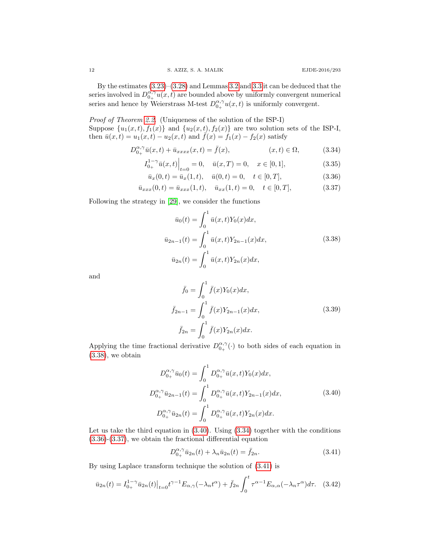By the estimates [\(3.23\)](#page-9-1)–[\(3.28\)](#page-10-0) and Lemmas [3.2](#page-10-3) and [3.3](#page-12-0) it can be deduced that the series involved in  $D_{0+}^{\alpha,\gamma}u(x,t)$  are bounded above by uniformly convergent numerical series and hence by Weierstrass M-test  $D_{0+}^{\alpha,\gamma}u(x,t)$  is uniformly convergent.

Proof of Theorem [2.2.](#page-4-6) (Uniqueness of the solution of the ISP-I) Suppose  $\{u_1(x,t), f_1(x)\}\$ and  $\{u_2(x,t), f_2(x)\}\$ are two solution sets of the ISP-I, then  $\bar{u}(x,t) = u_1(x,t) - u_2(x,t)$  and  $\bar{f}(x) = f_1(x) - f_2(x)$  satisfy

$$
D_{0+}^{\alpha,\gamma}\bar{u}(x,t) + \bar{u}_{xxxx}(x,t) = \bar{f}(x), \qquad (x,t) \in \Omega,
$$
 (3.34)

$$
I_{0_{+}}^{1-\gamma}\bar{u}(x,t)\Big|_{t=0} = 0, \quad \bar{u}(x,T) = 0, \quad x \in [0,1],
$$
\n(3.35)

$$
\bar{u}_x(0,t) = \bar{u}_x(1,t), \quad \bar{u}(0,t) = 0, \quad t \in [0,T], \tag{3.36}
$$

$$
\bar{u}_{xxx}(0,t) = \bar{u}_{xxx}(1,t), \quad \bar{u}_{xx}(1,t) = 0, \quad t \in [0,T], \tag{3.37}
$$

Following the strategy in [\[29\]](#page-19-18), we consider the functions

<span id="page-11-6"></span><span id="page-11-4"></span><span id="page-11-3"></span><span id="page-11-2"></span><span id="page-11-0"></span>
$$
\bar{u}_0(t) = \int_0^1 \bar{u}(x, t) Y_0(x) dx,
$$
  
\n
$$
\bar{u}_{2n-1}(t) = \int_0^1 \bar{u}(x, t) Y_{2n-1}(x) dx,
$$
\n
$$
\bar{u}_{2n}(t) = \int_0^1 \bar{u}(x, t) Y_{2n}(x) dx,
$$
\n(3.38)

and

$$
\bar{f}_0 = \int_0^1 \bar{f}(x) Y_0(x) dx,
$$
  
\n
$$
\bar{f}_{2n-1} = \int_0^1 \bar{f}(x) Y_{2n-1}(x) dx,
$$
  
\n
$$
\bar{f}_{2n} = \int_0^1 \bar{f}(x) Y_{2n}(x) dx.
$$
\n(3.39)

Applying the time fractional derivative  $D_{0_{+}}^{\alpha,\gamma}(\cdot)$  to both sides of each equation in [\(3.38\)](#page-11-0), we obtain

<span id="page-11-1"></span>
$$
D_{0_{+}}^{\alpha,\gamma}\bar{u}_{0}(t) = \int_{0}^{1} D_{0_{+}}^{\alpha,\gamma}\bar{u}(x,t)Y_{0}(x)dx,
$$
  
\n
$$
D_{0_{+}}^{\alpha,\gamma}\bar{u}_{2n-1}(t) = \int_{0}^{1} D_{0_{+}}^{\alpha,\gamma}\bar{u}(x,t)Y_{2n-1}(x)dx,
$$
  
\n
$$
D_{0_{+}}^{\alpha,\gamma}\bar{u}_{2n}(t) = \int_{0}^{1} D_{0_{+}}^{\alpha,\gamma}\bar{u}(x,t)Y_{2n}(x)dx.
$$
\n(3.40)

Let us take the third equation in [\(3.40\)](#page-11-1). Using [\(3.34\)](#page-11-2) together with the conditions [\(3.36\)](#page-11-3)-[\(3.37\)](#page-11-4), we obtain the fractional differential equation

<span id="page-11-5"></span>
$$
D_{0_{+}}^{\alpha,\gamma}\bar{u}_{2n}(t) + \lambda_{n}\bar{u}_{2n}(t) = \bar{f}_{2n}.
$$
\n(3.41)

By using Laplace transform technique the solution of [\(3.41\)](#page-11-5) is

<span id="page-11-7"></span>
$$
\bar{u}_{2n}(t) = I_{0+}^{1-\gamma} \bar{u}_{2n}(t)|_{t=0} t^{\gamma-1} E_{\alpha,\gamma}(-\lambda_n t^{\alpha}) + \bar{f}_{2n} \int_0^t \tau^{\alpha-1} E_{\alpha,\alpha}(-\lambda_n \tau^{\alpha}) d\tau.
$$
 (3.42)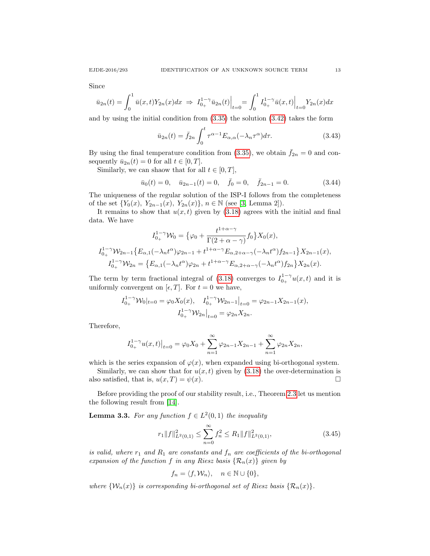Since

$$
\bar{u}_{2n}(t) = \int_0^1 \bar{u}(x,t) Y_{2n}(x) dx \implies I_{0+}^{1-\gamma} \bar{u}_{2n}(t) \Big|_{t=0} = \int_0^1 I_{0+}^{1-\gamma} \bar{u}(x,t) \Big|_{t=0} Y_{2n}(x) dx
$$

and by using the initial condition from  $(3.35)$  the solution  $(3.42)$  takes the form

$$
\bar{u}_{2n}(t) = \bar{f}_{2n} \int_0^t \tau^{\alpha - 1} E_{\alpha, \alpha}(-\lambda_n \tau^{\alpha}) d\tau.
$$
 (3.43)

By using the final temperature condition from [\(3.35\)](#page-11-6), we obtain  $\bar{f}_{2n} = 0$  and consequently  $\bar{u}_{2n}(t) = 0$  for all  $t \in [0, T]$ .

Similarly, we can shaow that for all  $t \in [0, T]$ ,

$$
\bar{u}_0(t) = 0, \quad \bar{u}_{2n-1}(t) = 0, \quad \bar{f}_0 = 0, \quad \bar{f}_{2n-1} = 0.
$$
\n(3.44)

The uniqueness of the regular solution of the ISP-I follows from the completeness of the set  $\{Y_0(x), Y_{2n-1}(x), Y_{2n}(x)\}, n \in \mathbb{N}$  (see [\[3,](#page-18-3) Lemma 2]).

It remains to show that  $u(x, t)$  given by [\(3.18\)](#page-8-0) agrees with the initial and final data. We have

$$
I_{0_{+}}^{1-\gamma} \mathcal{W}_{0} = \{ \varphi_{0} + \frac{t^{1+\alpha-\gamma}}{\Gamma(2+\alpha-\gamma)} f_{0} \} X_{0}(x),
$$
  

$$
I_{0_{+}}^{1-\gamma} \mathcal{W}_{2n-1} \{ E_{\alpha,1}(-\lambda_{n}t^{\alpha})\varphi_{2n-1} + t^{1+\alpha-\gamma} E_{\alpha,2+\alpha-\gamma}(-\lambda_{n}t^{\alpha}) f_{2n-1} \} X_{2n-1}(x),
$$
  

$$
I_{0_{+}}^{1-\gamma} \mathcal{W}_{2n} = \{ E_{\alpha,1}(-\lambda_{n}t^{\alpha})\varphi_{2n} + t^{1+\alpha-\gamma} E_{\alpha,2+\alpha-\gamma}(-\lambda_{n}t^{\alpha}) f_{2n} \} X_{2n}(x).
$$

The term by term fractional integral of [\(3.18\)](#page-8-0) converges to  $I_{0_{+}}^{1-\gamma}u(x,t)$  and it is uniformly convergent on  $[\epsilon, T]$ . For  $t = 0$  we have,

$$
I_{0_{+}}^{1-\gamma} \mathcal{W}_0|_{t=0} = \varphi_0 X_0(x), \quad I_{0_{+}}^{1-\gamma} \mathcal{W}_{2n-1}|_{t=0} = \varphi_{2n-1} X_{2n-1}(x),
$$

$$
I_{0_{+}}^{1-\gamma} \mathcal{W}_{2n}|_{t=0} = \varphi_{2n} X_{2n}.
$$

Therefore,

$$
I_{0_{+}}^{1-\gamma}u(x,t)\big|_{t=0} = \varphi_0 X_0 + \sum_{n=1}^{\infty} \varphi_{2n-1} X_{2n-1} + \sum_{n=1}^{\infty} \varphi_{2n} X_{2n},
$$

which is the series expansion of  $\varphi(x)$ , when expanded using bi-orthogonal system.

Similarly, we can show that for  $u(x, t)$  given by [\(3.18\)](#page-8-0) the over-determination is also satisfied, that is,  $u(x,T) = \psi(x)$ .

Before providing the proof of our stability result, i.e., Theorem [2.3](#page-4-7) let us mention the following result from [\[14\]](#page-18-20).

<span id="page-12-0"></span>**Lemma 3.3.** For any function  $f \in L^2(0,1)$  the inequality

$$
r_1 \|f\|_{L^2(0,1)}^2 \le \sum_{n=0}^{\infty} f_n^2 \le R_1 \|f\|_{L^2(0,1)}^2,
$$
\n(3.45)

is valid, where  $r_1$  and  $R_1$  are constants and  $f_n$  are coefficients of the bi-orthogonal expansion of the function f in any Riesz basis  $\{\mathcal{R}_n(x)\}\$  given by

$$
f_n = \langle f, \mathcal{W}_n \rangle, \quad n \in \mathbb{N} \cup \{0\},\
$$

where  $\{W_n(x)\}\$ is corresponding bi-orthogonal set of Riesz basis  $\{\mathcal{R}_n(x)\}\$ .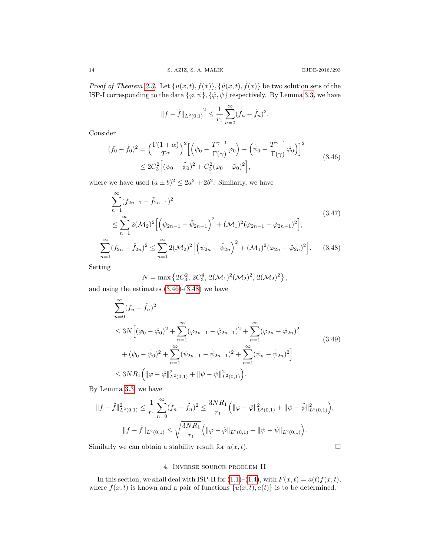*Proof of Theorem [2.3.](#page-4-7)* Let  $\{u(x,t), f(x)\}$ ,  $\{\tilde{u}(x,t), \tilde{f}(x)\}$  be two solution sets of the ISP-I corresponding to the data  $\{\varphi, \psi\}, \{\tilde{\varphi}, \tilde{\psi}\}$  respectively. By Lemma [3.3,](#page-12-0) we have

$$
||f - \tilde{f}||_{L^{2}(0,1)}^{2} \leq \frac{1}{r_{1}} \sum_{n=0}^{\infty} (f_{n} - \tilde{f}_{n})^{2}.
$$

Consider

<span id="page-13-0"></span>
$$
(f_0 - \tilde{f}_0)^2 = \left(\frac{\Gamma(1+\alpha)}{T^{\alpha}}\right)^2 \left[ \left(\psi_0 - \frac{T^{\gamma-1}}{\Gamma(\gamma)}\varphi_0\right) - \left(\tilde{\psi}_0 - \frac{T^{\gamma-1}}{\Gamma(\gamma)}\tilde{\varphi}_0\right) \right]^2
$$
  
 
$$
\leq 2C_3^2 \left[ (\psi_0 - \tilde{\psi}_0)^2 + C_3^2(\varphi_0 - \tilde{\varphi}_0)^2 \right],
$$
 (3.46)

where we have used  $(a \pm b)^2 \leq 2a^2 + 2b^2$ . Similarly, we have

$$
\sum_{n=1}^{\infty} (f_{2n-1} - \tilde{f}_{2n-1})^2
$$
\n
$$
\leq \sum_{n=1}^{\infty} 2(\mathcal{M}_2)^2 \Big[ \Big( \psi_{2n-1} - \tilde{\psi}_{2n-1} \Big)^2 + (\mathcal{M}_1)^2 (\varphi_{2n-1} - \tilde{\varphi}_{2n-1})^2 \Big],
$$
\n
$$
\sum_{n=1}^{\infty} (f_{2n} - \tilde{f}_{2n})^2 \leq \sum_{n=1}^{\infty} 2(\mathcal{M}_2)^2 \Big[ \Big( \psi_{2n} - \tilde{\psi}_{2n} \Big)^2 + (\mathcal{M}_1)^2 (\varphi_{2n} - \tilde{\varphi}_{2n})^2 \Big].
$$
\n(3.48)

Setting

<span id="page-13-1"></span>
$$
N = \max\left\{2C_3^2, 2C_3^4, 2(\mathcal{M}_1)^2(\mathcal{M}_2)^2, 2(\mathcal{M}_2)^2\right\},\,
$$

and using the estimates [\(3.46\)](#page-13-0)-[\(3.48\)](#page-13-1) we have

$$
\sum_{n=0}^{\infty} (f_n - \tilde{f}_n)^2
$$
\n
$$
\leq 3N \Big[ (\varphi_0 - \tilde{\varphi}_0)^2 + \sum_{n=1}^{\infty} (\varphi_{2n-1} - \tilde{\varphi}_{2n-1})^2 + \sum_{n=1}^{\infty} (\varphi_{2n} - \tilde{\varphi}_{2n})^2
$$
\n
$$
+ (\psi_0 - \tilde{\psi}_0)^2 + \sum_{n=1}^{\infty} (\psi_{2n-1} - \tilde{\psi}_{2n-1})^2 + \sum_{n=1}^{\infty} (\psi_n - \tilde{\psi}_{2n})^2 \Big]
$$
\n
$$
\leq 3NR_1 \Big( \|\varphi - \tilde{\varphi}\|_{L^2(0,1)}^2 + \|\psi - \tilde{\psi}\|_{L^2(0,1)}^2 \Big).
$$
\n(3.49)

By Lemma [3.3,](#page-12-0) we have

$$
||f - \tilde{f}||_{L^{2}(0,1)}^{2} \leq \frac{1}{r_{1}} \sum_{n=0}^{\infty} (f_{n} - \tilde{f}_{n})^{2} \leq \frac{3NR_{1}}{r_{1}} \Big( ||\varphi - \tilde{\varphi}||_{L^{2}(0,1)}^{2} + ||\psi - \tilde{\psi}||_{L^{2}(0,1)}^{2} \Big),
$$
  

$$
||f - \tilde{f}||_{L^{2}(0,1)} \leq \sqrt{\frac{3NR_{1}}{r_{1}}} \Big( ||\varphi - \tilde{\varphi}||_{L^{2}(0,1)} + ||\psi - \tilde{\psi}||_{L^{2}(0,1)} \Big).
$$

Similarly we can obtain a stability result for  $u(x, t)$ .

# 4. Inverse source problem II

In this section, we shall deal with ISP-II for  $(1.1)$ – $(1.4)$ , with  $F(x, t) = a(t)f(x, t)$ , where  $f(x, t)$  is known and a pair of functions  $\{u(x, t), a(t)\}\$ is to be determined.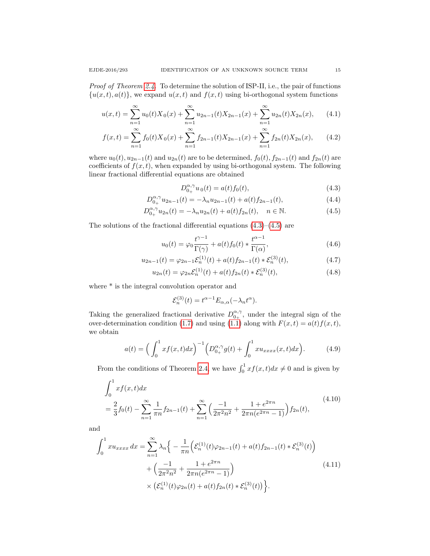Proof of Theorem [2.4.](#page-4-1) To determine the solution of ISP-II, i.e., the pair of functions  $\{u(x,t), a(t)\}\,$ , we expand  $u(x,t)$  and  $f(x,t)$  using bi-orthogonal system functions

$$
u(x,t) = \sum_{n=1}^{\infty} u_0(t) X_0(x) + \sum_{n=1}^{\infty} u_{2n-1}(t) X_{2n-1}(x) + \sum_{n=1}^{\infty} u_{2n}(t) X_{2n}(x), \qquad (4.1)
$$

$$
f(x,t) = \sum_{n=1}^{\infty} f_0(t) X_0(x) + \sum_{n=1}^{\infty} f_{2n-1}(t) X_{2n-1}(x) + \sum_{n=1}^{\infty} f_{2n}(t) X_{2n}(x), \qquad (4.2)
$$

where  $u_0(t)$ ,  $u_{2n-1}(t)$  and  $u_{2n}(t)$  are to be determined,  $f_0(t)$ ,  $f_{2n-1}(t)$  and  $f_{2n}(t)$  are coefficients of  $f(x, t)$ , when expanded by using bi-orthogonal system. The following linear fractional differential equations are obtained

<span id="page-14-4"></span><span id="page-14-1"></span><span id="page-14-0"></span>
$$
D_{0+}^{\alpha,\gamma}u_0(t) = a(t)f_0(t),
$$
\n(4.3)

$$
D_{0_{+}}^{\alpha,\gamma}u_{2n-1}(t) = -\lambda_{n}u_{2n-1}(t) + a(t)f_{2n-1}(t),
$$
\n(4.4)

$$
D_{0_{+}}^{\alpha,\gamma}u_{2n}(t) = -\lambda_{n}u_{2n}(t) + a(t)f_{2n}(t), \quad n \in \mathbb{N}.
$$
 (4.5)

The solutions of the fractional differential equations  $(4.3)$ – $(4.5)$  are

$$
u_0(t) = \varphi_0 \frac{t^{\gamma - 1}}{\Gamma(\gamma)} + a(t) f_0(t) * \frac{t^{\alpha - 1}}{\Gamma(\alpha)},
$$
\n(4.6)

$$
u_{2n-1}(t) = \varphi_{2n-1} \mathcal{E}_n^{(1)}(t) + a(t) f_{2n-1}(t) * \mathcal{E}_n^{(3)}(t), \tag{4.7}
$$

$$
u_{2n}(t) = \varphi_{2n} \mathcal{E}_n^{(1)}(t) + a(t) f_{2n}(t) * \mathcal{E}_n^{(3)}(t), \tag{4.8}
$$

where  $*$  is the integral convolution operator and

$$
\mathcal{E}_n^{(3)}(t) = t^{\alpha - 1} E_{\alpha, \alpha}(-\lambda_n t^{\alpha}).
$$

Taking the generalized fractional derivative  $D_{0+}^{\alpha,\gamma}$ , under the integral sign of the over-determination condition [\(1.7\)](#page-1-0) and using [\(1.1\)](#page-0-0) along with  $F(x,t) = a(t)f(x,t)$ , we obtain

<span id="page-14-5"></span>
$$
a(t) = \left(\int_0^1 x f(x, t) dx\right)^{-1} \left(D_{0+}^{\alpha, \gamma} g(t) + \int_0^1 x u_{xxxx}(x, t) dx\right).
$$
 (4.9)

From the conditions of Theorem [2.4,](#page-4-1) we have  $\int_0^1 x f(x, t) dx \neq 0$  and is given by

<span id="page-14-2"></span>
$$
\int_0^1 x f(x, t) dx
$$
\n
$$
= \frac{2}{3} f_0(t) - \sum_{n=1}^\infty \frac{1}{\pi n} f_{2n-1}(t) + \sum_{n=1}^\infty \left( \frac{-1}{2\pi^2 n^2} + \frac{1 + e^{2\pi n}}{2\pi n (e^{2\pi n} - 1)} \right) f_{2n}(t),
$$
\n(4.10)

and

<span id="page-14-3"></span>
$$
\int_0^1 x u_{xxxx} dx = \sum_{n=1}^\infty \lambda_n \Big\{ -\frac{1}{\pi n} \Big( \mathcal{E}_n^{(1)}(t) \varphi_{2n-1}(t) + a(t) f_{2n-1}(t) * \mathcal{E}_n^{(3)}(t) \Big) + \Big( \frac{-1}{2\pi^2 n^2} + \frac{1 + e^{2\pi n}}{2\pi n (e^{2\pi n} - 1)} \Big) \times \Big( \mathcal{E}_n^{(1)}(t) \varphi_{2n}(t) + a(t) f_{2n}(t) * \mathcal{E}_n^{(3)}(t) \Big) \Big\}.
$$
\n(4.11)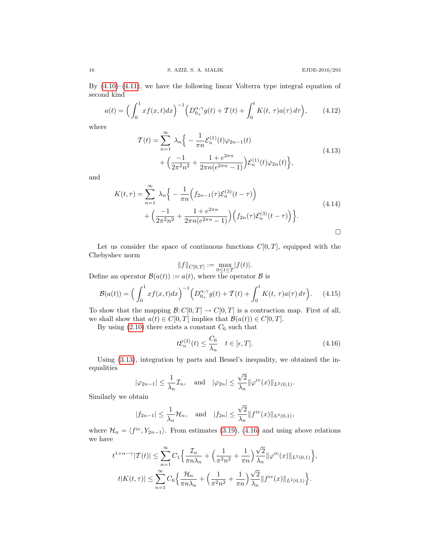By  $(4.10)$ – $(4.11)$ , we have the following linear Volterra type integral equation of second kind

$$
a(t) = \left(\int_0^1 x f(x, t) dx\right)^{-1} \left(D_{0+}^{\alpha, \gamma} g(t) + \mathcal{T}(t) + \int_0^t K(t, \tau) a(\tau) d\tau\right), \tag{4.12}
$$

where

<span id="page-15-1"></span>
$$
\mathcal{T}(t) = \sum_{n=1}^{\infty} \lambda_n \Big\{ -\frac{1}{\pi n} \mathcal{E}_n^{(1)}(t) \varphi_{2n-1}(t) + \Big(\frac{-1}{2\pi^2 n^2} + \frac{1 + e^{2\pi n}}{2\pi n (e^{2\pi n} - 1)}\Big) \mathcal{E}_n^{(1)}(t) \varphi_{2n}(t) \Big\},
$$
\n(4.13)

and

<span id="page-15-2"></span>
$$
K(t,\tau) = \sum_{n=1}^{\infty} \lambda_n \Big\{ -\frac{1}{\pi n} \Big( f_{2n-1}(\tau) \mathcal{E}_n^{(3)}(t-\tau) \Big) + \Big( \frac{-1}{2\pi^2 n^2} + \frac{1+e^{2\pi n}}{2\pi n (e^{2\pi n}-1)} \Big) \Big( f_{2n}(\tau) \mathcal{E}_n^{(3)}(t-\tau) \Big) \Big\}.
$$
\n(4.14)

Let us consider the space of continuous functions  $C[0, T]$ , equipped with the Chebyshev norm

$$
||f||_{C[0,T]} := \max_{0 \le t \le T} |f(t)|.
$$

Define an operator  $\mathcal{B}(a(t)) := a(t)$ , where the operator  $\mathcal{B}$  is

$$
\mathcal{B}(a(t)) = \Big(\int_0^1 x f(x,t) dx\Big)^{-1} \Big(D_{0+}^{\alpha,\gamma} g(t) + \mathcal{T}(t) + \int_0^t K(t,\,\tau) a(\tau) d\tau\Big). \tag{4.15}
$$

To show that the mapping  $\mathcal{B}: C[0,T] \to C[0,T]$  is a contraction map. First of all, we shall show that  $a(t) \in C[0,T]$  implies that  $\mathcal{B}(a(t)) \in C[0,T]$ .

By using  $(2.10)$  there exists a constant  $C_6$  such that

<span id="page-15-0"></span>
$$
t\mathcal{E}_n^{(3)}(t) \le \frac{C_6}{\lambda_n} \quad t \in [\epsilon, T]. \tag{4.16}
$$

Using [\(3.13\)](#page-7-2), integration by parts and Bessel's inequality, we obtained the inequalities √

$$
|\varphi_{2n-1}| \le \frac{1}{\lambda_n} \mathcal{I}_n
$$
, and  $|\varphi_{2n}| \le \frac{\sqrt{2}}{\lambda_n} ||\varphi^{iv}(x)||_{L^2(0,1)}$ .

Similarly we obtain

$$
|f_{2n-1}| \leq \frac{1}{\lambda_n} \mathcal{H}_n
$$
, and  $|f_{2n}| \leq \frac{\sqrt{2}}{\lambda_n} ||f^{iv}(x)||_{L^2(0,1)}$ ,

where  $\mathcal{H}_n = \langle f^{iv}, Y_{2n-1} \rangle$ . From estimates [\(3.19\)](#page-8-2), [\(4.16\)](#page-15-0) and using above relations we have

$$
t^{1+\alpha-\gamma}|\mathcal{T}(t)| \leq \sum_{n=1}^{\infty} C_1 \Big\{ \frac{\mathcal{I}_n}{\pi n \lambda_n} + \Big( \frac{1}{\pi^2 n^2} + \frac{1}{\pi n} \Big) \frac{\sqrt{2}}{\lambda_n} ||\varphi^{iv}(x)||_{L^2(0,1)} \Big\},
$$
  

$$
t|K(t,\tau)| \leq \sum_{n=1}^{\infty} C_6 \Big\{ \frac{\mathcal{H}_n}{\pi n \lambda_n} + \Big( \frac{1}{\pi^2 n^2} + \frac{1}{\pi n} \Big) \frac{\sqrt{2}}{\lambda_n} ||f^{iv}(x)||_{L^2(0,1)} \Big\}.
$$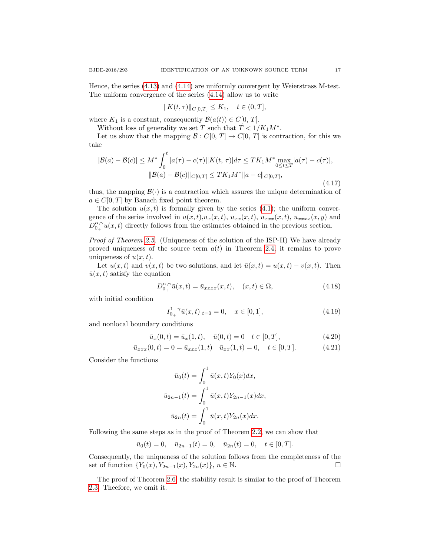Hence, the series [\(4.13\)](#page-15-1) and [\(4.14\)](#page-15-2) are uniformly convergent by Weierstrass M-test. The uniform convergence of the series [\(4.14\)](#page-15-2) allow us to write

$$
||K(t,\tau)||_{C[0,T]} \leq K_1, \quad t \in (0,T],
$$

where  $K_1$  is a constant, consequently  $\mathcal{B}(a(t)) \in C[0, T]$ .

Without loss of generality we set T such that  $T < 1/K_1M^*$ .

Let us show that the mapping  $\mathcal{B}: C[0, T] \to C[0, T]$  is contraction, for this we take

$$
|\mathcal{B}(a) - \mathcal{B}(c)| \le M^* \int_0^t |a(\tau) - c(\tau)||K(t, \tau)| d\tau \le TK_1 M^* \max_{0 \le t \le T} |a(\tau) - c(\tau)|,
$$
  

$$
\|\mathcal{B}(a) - \mathcal{B}(c)\|_{C[0,T]} \le TK_1 M^* \|a - c\|_{C[0,T]},
$$
\n(4.17)

thus, the mapping  $\mathcal{B}(\cdot)$  is a contraction which assures the unique determination of  $a \in C[0,T]$  by Banach fixed point theorem.

The solution  $u(x, t)$  is formally given by the series [\(4.1\)](#page-14-4); the uniform convergence of the series involved in  $u(x, t), u_x(x, t), u_{xx}(x, t), u_{xxx}(x, t), u_{xxxx}(x, y)$  and  $D_{0+}^{\alpha,\gamma}u(x,t)$  directly follows from the estimates obtained in the previous section.

Proof of Theorem [2.5.](#page-4-8) (Uniqueness of the solution of the ISP-II) We have already proved uniqueness of the source term  $a(t)$  in Theorem [2.4,](#page-4-1) it remains to prove uniqueness of  $u(x, t)$ .

Let  $u(x, t)$  and  $v(x, t)$  be two solutions, and let  $\bar{u}(x, t) = u(x, t) - v(x, t)$ . Then  $\bar{u}(x, t)$  satisfy the equation

$$
D_{0_{+}}^{\alpha,\gamma}\bar{u}(x,t) = \bar{u}_{xxxx}(x,t), \quad (x,t) \in \Omega,
$$
\n(4.18)

with initial condition

$$
I_{0+}^{1-\gamma} \bar{u}(x,t)|_{t=0} = 0, \quad x \in [0,1],
$$
\n(4.19)

and nonlocal boundary conditions

$$
\bar{u}_x(0,t) = \bar{u}_x(1,t), \quad \bar{u}(0,t) = 0 \quad t \in [0,T],
$$
\n(4.20)

$$
\bar{u}_{xxx}(0,t) = 0 = \bar{u}_{xxx}(1,t) \quad \bar{u}_{xx}(1,t) = 0, \quad t \in [0,T].
$$
\n(4.21)

Consider the functions

$$
\bar{u}_0(t) = \int_0^1 \bar{u}(x, t) Y_0(x) dx,
$$
  

$$
\bar{u}_{2n-1}(t) = \int_0^1 \bar{u}(x, t) Y_{2n-1}(x) dx,
$$
  

$$
\bar{u}_{2n}(t) = \int_0^1 \bar{u}(x, t) Y_{2n}(x) dx.
$$

Following the same steps as in the proof of Theorem [2.2,](#page-4-6) we can show that

$$
\bar{u}_0(t) = 0
$$
,  $\bar{u}_{2n-1}(t) = 0$ ,  $\bar{u}_{2n}(t) = 0$ ,  $t \in [0, T]$ .

Consequently, the uniqueness of the solution follows from the completeness of the set of function  $\{Y_0(x), Y_{2n-1}(x), Y_{2n}(x)\}, n \in \mathbb{N}$ . □

The proof of Theorem [2.6,](#page-5-5) the stability result is similar to the proof of Theorem [2.3.](#page-4-7) Theefore, we omit it.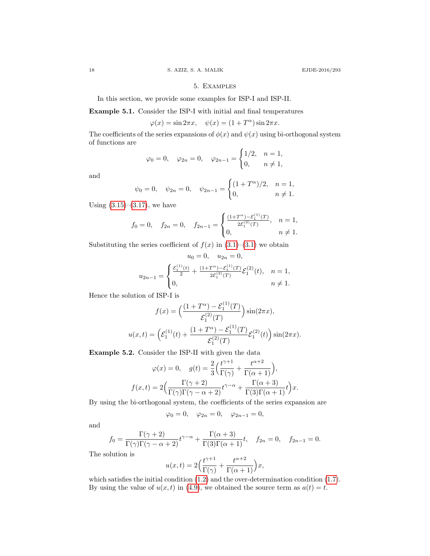## 5. Examples

In this section, we provide some examples for ISP-I and ISP-II.

Example 5.1. Consider the ISP-I with initial and final temperatures

$$
\varphi(x)=\sin 2\pi x,\quad \psi(x)=(1+T^\alpha)\sin 2\pi x.
$$

The coefficients of the series expansions of  $\phi(x)$  and  $\psi(x)$  using bi-orthogonal system of functions are

$$
\varphi_0 = 0
$$
,  $\varphi_{2n} = 0$ ,  $\varphi_{2n-1} = \begin{cases} 1/2, & n = 1, \\ 0, & n \neq 1, \end{cases}$ 

and

$$
\psi_0 = 0
$$
,  $\psi_{2n} = 0$ ,  $\psi_{2n-1} = \begin{cases} (1 + T^{\alpha})/2, & n = 1, \\ 0, & n \neq 1. \end{cases}$ 

Using  $(3.15)$ – $(3.17)$ , we have

$$
f_0 = 0
$$
,  $f_{2n} = 0$ ,  $f_{2n-1} = \begin{cases} \frac{(1+T^{\alpha}) - \mathcal{E}_1^{(1)}(T)}{2\mathcal{E}_1^{(2)}(T)}, & n = 1, \\ 0, & n \neq 1. \end{cases}$ 

Substituting the series coefficient of  $f(x)$  in  $(3.1)$ – $(3.1)$  we obtain

$$
u_0 = 0, \quad u_{2n} = 0,
$$
  

$$
u_{2n-1} = \begin{cases} \frac{\mathcal{E}_1^{(1)}(t)}{2} + \frac{(1+T^{\alpha}) - \mathcal{E}_1^{(1)}(T)}{2\mathcal{E}_1^{(2)}(T)} \mathcal{E}_1^{(2)}(t), & n = 1, \\ 0, & n \neq 1. \end{cases}
$$

Hence the solution of ISP-I is

$$
f(x) = \left(\frac{(1+T^{\alpha}) - \mathcal{E}_1^{(1)}(T)}{\mathcal{E}_1^{(2)}(T)}\right) \sin(2\pi x),
$$
  

$$
u(x,t) = \left(\mathcal{E}_1^{(1)}(t) + \frac{(1+T^{\alpha}) - \mathcal{E}_1^{(1)}(T)}{\mathcal{E}_1^{(2)}(T)}\mathcal{E}_1^{(2)}(t)\right) \sin(2\pi x).
$$

Example 5.2. Consider the ISP-II with given the data

$$
\varphi(x) = 0, \quad g(t) = \frac{2}{3} \left( \frac{t^{\gamma+1}}{\Gamma(\gamma)} + \frac{t^{\alpha+2}}{\Gamma(\alpha+1)} \right),
$$

$$
f(x,t) = 2 \left( \frac{\Gamma(\gamma+2)}{\Gamma(\gamma)\Gamma(\gamma-\alpha+2)} t^{\gamma-\alpha} + \frac{\Gamma(\alpha+3)}{\Gamma(3)\Gamma(\alpha+1)} t \right) x.
$$

By using the bi-orthogonal system, the coefficients of the series expansion are

$$
\varphi_0 = 0, \quad \varphi_{2n} = 0, \quad \varphi_{2n-1} = 0,
$$

and

$$
f_0 = \frac{\Gamma(\gamma+2)}{\Gamma(\gamma)\Gamma(\gamma-\alpha+2)} t^{\gamma-\alpha} + \frac{\Gamma(\alpha+3)}{\Gamma(3)\Gamma(\alpha+1)} t, \quad f_{2n} = 0, \quad f_{2n-1} = 0.
$$

The solution is

$$
u(x,t) = 2\Big(\frac{t^{\gamma+1}}{\Gamma(\gamma)} + \frac{t^{\alpha+2}}{\Gamma(\alpha+1)}\Big)x,
$$

which satisfies the initial condition  $(1.2)$  and the over-determination condition  $(1.7)$ . By using the value of  $u(x, t)$  in [\(4.9\)](#page-14-5), we obtained the source term as  $a(t) = t$ .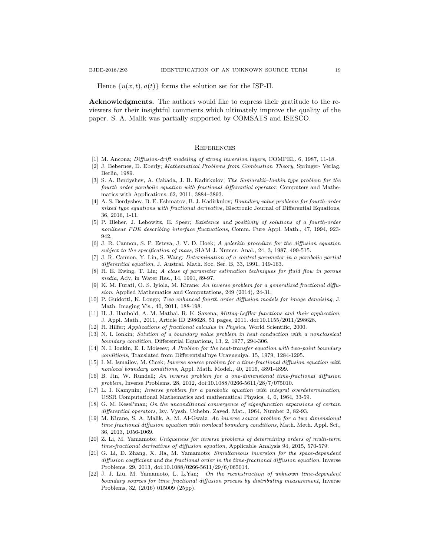Hence  $\{u(x,t), a(t)\}\$ forms the solution set for the ISP-II.

Acknowledgments. The authors would like to express their gratitude to the reviewers for their insightful comments which ultimately improve the quality of the paper. S. A. Malik was partially supported by COMSATS and ISESCO.

#### **REFERENCES**

- <span id="page-18-10"></span>[1] M. Ancona; Diffusion-drift modeling of strong inversion layers, COMPEL. 6, 1987, 11-18.
- <span id="page-18-7"></span>[2] J. Bebernes, D. Eberly; Mathematical Problems from Combustion Theory, Springer- Verlag, Berlin, 1989.
- <span id="page-18-3"></span>[3] S. A. Berdyshev, A. Cabada, J. B. Kadirkulov; The Samarskii–Ionkin type problem for the fourth order parabolic equation with fractional differential operator, Computers and Mathematics with Applications. 62, 2011, 3884–3893.
- <span id="page-18-16"></span>[4] A. S. Berdyshev, B. E. Eshmatov, B. J. Kadirkulov; Boundary value problems for fourth-order mixed type equations with fractional derivative, Electronic Journal of Differential Equations, 36, 2016, 1-11.
- <span id="page-18-9"></span>[5] P. Bleher, J. Lebowitz, E. Speer; Existence and positivity of solutions of a fourth-order nonlinear PDE describing interface fluctuations, Comm. Pure Appl. Math., 47, 1994, 923- 942.
- <span id="page-18-4"></span>[6] J. R. Cannon, S. P. Esteva, J. V. D. Hoek; A galerkin procedure for the diffusion equation subject to the specification of mass, SIAM J. Numer. Anal., 24, 3, 1987, 499-515.
- <span id="page-18-2"></span>[7] J. R. Cannon, Y. Lin, S. Wang; Determination of a control parameter in a parabolic partial differential equation, J. Austral. Math. Soc. Ser. B, 33, 1991, 149-163.
- <span id="page-18-5"></span>[8] R. E. Ewing, T. Lin; A class of parameter estimation techniques for fluid flow in porous media, Adv, in Water Res., 14, 1991, 89-97.
- <span id="page-18-15"></span>K. M. Furati, O. S. Iyiola, M. Kirane; An inverse problem for a generalized fractional diffusion, Applied Mathematics and Computations, 249 (2014), 24-31.
- <span id="page-18-8"></span>[10] P. Guidotti, K. Longo; Two enhanced fourth order diffusion models for image denoising, J. Math. Imaging Vis., 40, 2011, 188-198.
- [11] H. J. Haubold, A. M. Mathai, R. K. Saxena; Mittag-Leffler functions and their application, J. Appl. Math., 2011, Article ID 298628, 51 pages, 2011. doi:10.1155/2011/298628.
- <span id="page-18-0"></span>[12] R. Hilfer; Applications of fractional calculus in Physics, World Scientific, 2000.
- <span id="page-18-1"></span>[13] N. I. Ionkin; Solution of a boundary value problem in heat conduction with a nonclassical boundary condition, Differential Equations, 13, 2, 1977, 294-306.
- <span id="page-18-20"></span>[14] N. I. Ionkin, E. I. Moiseev; A Problem for the heat-transfer equation with two-point boundary conditions, Translated from Differentsial'nye Uravneniya. 15, 1979, 1284-1295.
- <span id="page-18-17"></span>[15] I. M. Ismailov, M. Cicek; Inverse source problem for a time-fractional diffusion equation with nonlocal boundary conditions, Appl. Math. Model., 40, 2016, 4891-4899.
- <span id="page-18-12"></span>[16] B. Jin, W. Rundell; An inverse problem for a one-dimensional time-fractional diffusion problem, Inverse Problems. 28, 2012, doi:10.1088/0266-5611/28/7/075010.
- <span id="page-18-6"></span>[17] L. I. Kamynin; Inverse problem for a parabolic equation with integral overdetermination, USSR Computational Mathematics and mathematical Physics. 4, 6, 1964, 33-59.
- <span id="page-18-19"></span>[18] G. M. Kesel'man; On the unconditional convergence of eigenfunction expansions of certain differential operators, Izv. Vyssh. Uchebn. Zaved. Mat., 1964, Number 2, 82-93.
- <span id="page-18-11"></span>[19] M. Kirane, S. A. Malik, A. M. Al-Gwaiz; An inverse source problem for a two dimensional time fractional diffusion equation with nonlocal boundary conditions, Math. Meth. Appl. Sci., 36, 2013, 1056-1069.
- <span id="page-18-14"></span>[20] Z. Li, M. Yamamoto; Uniqueness for inverse problems of determining orders of multi-term time-fractional derivatives of diffusion equation, Applicable Analysis 94, 2015, 570-579.
- <span id="page-18-13"></span>[21] G. Li, D. Zhang, X. Jia, M. Yamamoto; Simultaneous inversion for the space-dependent diffusion coefficient and the fractional order in the time-fractional diffusion equation, Inverse Problems. 29, 2013, doi:10.1088/0266-5611/29/6/065014.
- <span id="page-18-18"></span>[22] J. J. Liu, M. Yamamoto, L. L.Yan; On the reconstruction of unknown time-dependent boundary sources for time fractional diffusion process by distributing measurement, Inverse Problems, 32, (2016) 015009 (25pp).